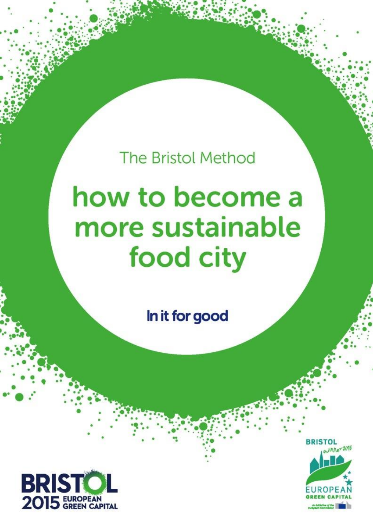**The Bristol Method** 

# how to become a more sustainable food city

In it for good



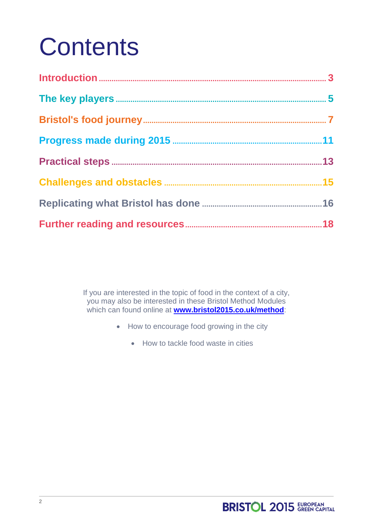## **Contents**

If you are interested in the topic of food in the context of a city, you may also be interested in these Bristol Method Modules which can found online at **[www.bristol2015.co.uk/method](http://www.bristol2015.co.uk/method)**:

- How to encourage food growing in the city
	- How to tackle food waste in cities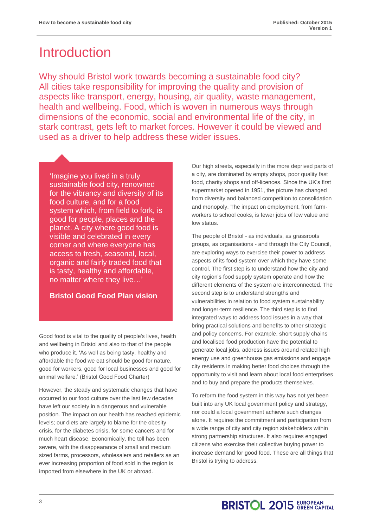### **Introduction**

Why should Bristol work towards becoming a sustainable food city? All cities take responsibility for improving the quality and provision of aspects like transport, energy, housing, air quality, waste management, health and wellbeing. Food, which is woven in numerous ways through dimensions of the economic, social and environmental life of the city, in stark contrast, gets left to market forces. However it could be viewed and used as a driver to help address these wider issues.

'Imagine you lived in a truly sustainable food city, renowned for the vibrancy and diversity of its food culture, and for a food system which, from field to fork, is good for people, places and the planet. A city where good food is visible and celebrated in every corner and where everyone has access to fresh, seasonal, local, organic and fairly traded food that is tasty, healthy and affordable, no matter where they live…'

### **Bristol Good Food Plan vision**

Good food is vital to the quality of people's lives, health and wellbeing in Bristol and also to that of the people who produce it. 'As well as being tasty, healthy and affordable the food we eat should be good for nature, good for workers, good for local businesses and good for animal welfare.' (Bristol Good Food Charter)

However, the steady and systematic changes that have occurred to our food culture over the last few decades have left our society in a dangerous and vulnerable position. The impact on our health has reached epidemic levels; our diets are largely to blame for the obesity crisis, for the diabetes crisis, for some cancers and for much heart disease. Economically, the toll has been severe, with the disappearance of small and medium sized farms, processors, wholesalers and retailers as an ever increasing proportion of food sold in the region is imported from elsewhere in the UK or abroad.

Our high streets, especially in the more deprived parts of a city, are dominated by empty shops, poor quality fast food, charity shops and off-licences. Since the UK's first supermarket opened in 1951, the picture has changed from diversity and balanced competition to consolidation and monopoly. The impact on employment, from farmworkers to school cooks, is fewer jobs of low value and low status.

The people of Bristol - as individuals, as grassroots groups, as organisations - and through the City Council, are exploring ways to exercise their power to address aspects of its food system over which they have some control. The first step is to understand how the city and city region's food supply system operate and how the different elements of the system are interconnected. The second step is to understand strengths and vulnerabilities in relation to food system sustainability and longer-term resilience. The third step is to find integrated ways to address food issues in a way that bring practical solutions and benefits to other strategic and policy concerns. For example, short supply chains and localised food production have the potential to generate local jobs, address issues around related high energy use and greenhouse gas emissions and engage city residents in making better food choices through the opportunity to visit and learn about local food enterprises and to buy and prepare the products themselves.

To reform the food system in this way has not yet been built into any UK local government policy and strategy, nor could a local government achieve such changes alone. It requires the commitment and participation from a wide range of city and city region stakeholders within strong partnership structures. It also requires engaged citizens who exercise their collective buying power to increase demand for good food. These are all things that Bristol is trying to address.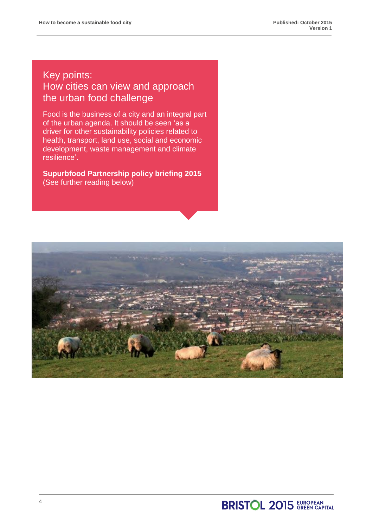### Key points: How cities can view and approach the urban food challenge

Food is the business of a city and an integral part of the urban agenda. It should be seen 'as a driver for other sustainability policies related to health, transport, land use, social and economic development, waste management and climate resilience'.

**Supurbfood Partnership policy briefing 2015** (See further reading below)

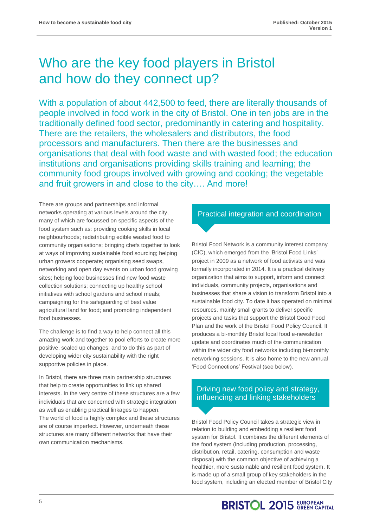### Who are the key food players in Bristol and how do they connect up?

With a population of about 442,500 to feed, there are literally thousands of people involved in food work in the city of Bristol. One in ten jobs are in the traditionally defined food sector, predominantly in catering and hospitality. There are the retailers, the wholesalers and distributors, the food processors and manufacturers. Then there are the businesses and organisations that deal with food waste and with wasted food; the education institutions and organisations providing skills training and learning; the community food groups involved with growing and cooking; the vegetable and fruit growers in and close to the city…. And more!

There are groups and partnerships and informal networks operating at various levels around the city, many of which are focussed on specific aspects of the food system such as: providing cooking skills in local neighbourhoods; redistributing edible wasted food to community organisations; bringing chefs together to look at ways of improving sustainable food sourcing; helping urban growers cooperate; organising seed swaps, networking and open day events on urban food growing sites; helping food businesses find new food waste collection solutions; connecting up healthy school initiatives with school gardens and school meals; campaigning for the safeguarding of best value agricultural land for food; and promoting independent food businesses.

The challenge is to find a way to help connect all this amazing work and together to pool efforts to create more positive, scaled up changes; and to do this as part of developing wider city sustainability with the right supportive policies in place.

In Bristol, there are three main partnership structures that help to create opportunities to link up shared interests. In the very centre of these structures are a few individuals that are concerned with strategic integration as well as enabling practical linkages to happen. The world of food is highly complex and these structures are of course imperfect. However, underneath these structures are many different networks that have their own communication mechanisms.

### Practical integration and coordination

Bristol Food Network is a community interest company (CIC), which emerged from the 'Bristol Food Links' project in 2009 as a network of food activists and was formally incorporated in 2014. It is a practical delivery organization that aims to support, inform and connect individuals, community projects, organisations and businesses that share a vision to transform Bristol into a sustainable food city. To date it has operated on minimal resources, mainly small grants to deliver specific projects and tasks that support the Bristol Good Food Plan and the work of the Bristol Food Policy Council. It produces a bi-monthly Bristol local food e-newsletter update and coordinates much of the communication within the wider city food networks including bi-monthly networking sessions. It is also home to the new annual 'Food Connections' Festival (see below).

### Driving new food policy and strategy, influencing and linking stakeholders

Bristol Food Policy Council takes a strategic view in relation to building and embedding a resilient food system for Bristol. It combines the different elements of the food system (including production, processing, distribution, retail, catering, consumption and waste disposal) with the common objective of achieving a healthier, more sustainable and resilient food system. It is made up of a small group of key stakeholders in the food system, including an elected member of Bristol City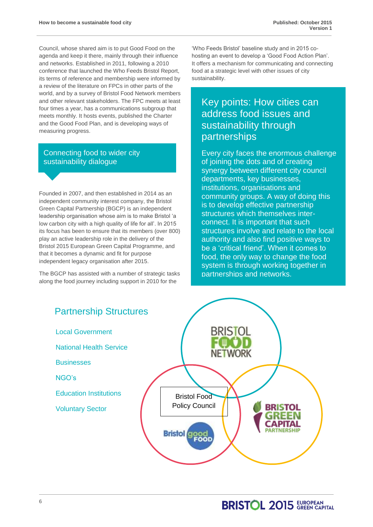Council, whose shared aim is to put Good Food on the agenda and keep it there, mainly through their influence and networks. Established in 2011, following a 2010 conference that launched the Who Feeds Bristol Report, its terms of reference and membership were informed by a review of the literature on FPCs in other parts of the world, and by a survey of Bristol Food Network members and other relevant stakeholders. The FPC meets at least four times a year, has a communications subgroup that meets monthly. It hosts events, published the Charter and the Good Food Plan, and is developing ways of measuring progress.

### Connecting food to wider city sustainability dialogue

Founded in 2007, and then established in 2014 as an independent community interest company, the Bristol Green Capital Partnership (BGCP) is an independent leadership organisation whose aim is to make Bristol 'a low carbon city with a high quality of life for all'. In 2015 its focus has been to ensure that its members (over 800) play an active leadership role in the delivery of the Bristol 2015 European Green Capital Programme, and that it becomes a dynamic and fit for purpose independent legacy organisation after 2015.

The BGCP has assisted with a number of strategic tasks along the food journey including support in 2010 for the

'Who Feeds Bristol' baseline study and in 2015 cohosting an event to develop a 'Good Food Action Plan'. It offers a mechanism for communicating and connecting food at a strategic level with other issues of city sustainability.

### Key points: How cities can address food issues and sustainability through partnerships

Every city faces the enormous challenge of joining the dots and of creating synergy between different city council departments, key businesses, institutions, organisations and community groups. A way of doing this is to develop effective partnership structures which themselves interconnect. It is important that such structures involve and relate to the local authority and also find positive ways to be a 'critical friend'. When it comes to food, the only way to change the food system is through working together in partnerships and networks.

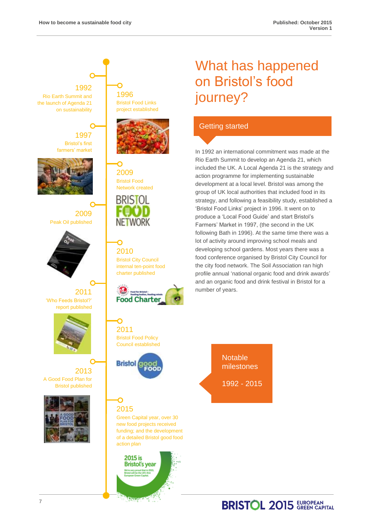### 1992 1996 Rio Earth Summit and the launch of Agenda 21 on sustainability 1997 Bristol's first farmers' market 2009 Bristol Food Network created **BRISTOL** 2009 Peak Oil published NETWORK Ó 2010 2011 'Who Feeds Bristol?' report published 2011 2013 A Good Food Plan for Bristol published 2015 action plan

Bristol Food Links project established



Bristol City Council internal ten-point food charter published



Bristol Food Policy Council established



Green Capital year, over 30 new food projects received funding; and the development of a detailed Bristol good food



### What has happened on Bristol's food journey?

### Getting started

In 1992 an international commitment was made at the Rio Earth Summit to develop an Agenda 21, which included the UK. A Local Agenda 21 is the strategy and action programme for implementing sustainable development at a local level. Bristol was among the group of UK local authorities that included food in its strategy, and following a feasibility study, established a 'Bristol Food Links' project in 1996. It went on to produce a 'Local Food Guide' and start Bristol's Farmers' Market in 1997, (the second in the UK following Bath in 1996). At the same time there was a lot of activity around improving school meals and developing school gardens. Most years there was a food conference organised by Bristol City Council for the city food network. The Soil Association ran high profile annual 'national organic food and drink awards' and an organic food and drink festival in Bristol for a number of years.

> **Notable** milestones

1992 - 2015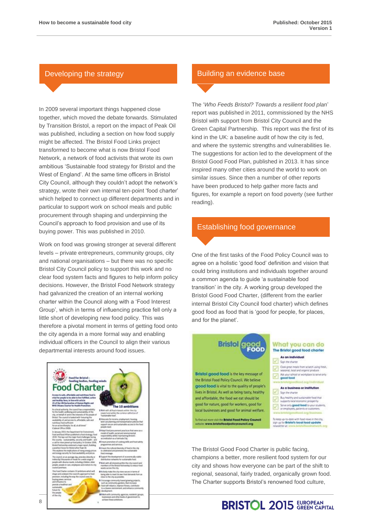In 2009 several important things happened close together, which moved the debate forwards. Stimulated by Transition Bristol, a report on the impact of Peak Oil was published, including a section on how food supply might be affected. The Bristol Food Links project transformed to become what is now Bristol Food Network, a network of food activists that wrote its own ambitious 'Sustainable food strategy for Bristol and the West of England'. At the same time officers in Bristol City Council, although they couldn't adopt the network's strategy, wrote their own internal ten-point 'food charter' which helped to connect up different departments and in particular to support work on school meals and public procurement through shaping and underpinning the Council's approach to food provision and use of its buying power. This was published in 2010.

Work on food was growing stronger at several different levels – private entrepreneurs, community groups, city and national organisations – but there was no specific Bristol City Council policy to support this work and no clear food system facts and figures to help inform policy decisions. However, the Bristol Food Network strategy had galvanized the creation of an internal working charter within the Council along with a 'Food Interest Group', which in terms of influencing practice fell only a little short of developing new food policy. This was therefore a pivotal moment in terms of getting food onto the city agenda in a more formal way and enabling individual officers in the Council to align their various departmental interests around food issues.

# ood Charter The 10 ambittions

### Developing the strategy **Building** an evidence base

The '*Who Feeds Bristol? Towards a resilient food plan*' report was published in 2011, commissioned by the NHS Bristol with support from Bristol City Council and the Green Capital Partnership. This report was the first of its kind in the UK: a baseline audit of how the city is fed, and where the systemic strengths and vulnerabilities lie. The suggestions for action led to the development of the Bristol Good Food Plan, published in 2013. It has since inspired many other cities around the world to work on similar issues. Since then a number of other reports have been produced to help gather more facts and figures, for example a report on food poverty (see further reading).

### Establishing food governance

One of the first tasks of the Food Policy Council was to agree on a holistic 'good food' definition and vision that could bring institutions and individuals together around a common agenda to guide 'a sustainable food transition' in the city. A working group developed the Bristol Good Food Charter, (different from the earlier internal Bristol City Council food charter) which defines good food as food that is 'good for people, for places, and for the planet'.

#### **Bristol** What you can do 3000<br>1950 The Bristol good food charter As an individual  $\sqrt{2}$ Sen the charter Cook great meals from scratch using fresh, Bristol good food is the key message of Ask your school or workplace to serve only<br>good food  $\overline{\mathcal{L}}$ the Bristol Food Policy Council. We believe good food is vital to the quality of people's As a business or institution Sign the charter lives in Bristol. As well as being tasty, healthy and affordable, the food we eat should be Buy healthy and sustainable food that<br>supports local economic prospenty good for nature, good for workers, good for Serve only good food to your students local businesses and good for animal welfare. To find out more visit the Bristol Food Policy Cour<br>website: www.bristolfoodpolicycouncil.org .<br>To keep up-to-date with food news in the city.<br>sign up for **Bristol's local food update**

The Bristol Good Food Charter is public facing, champions a better, more resilient food system for our city and shows how everyone can be part of the shift to regional, seasonal, fairly traded, organically grown food. The Charter supports Bristol's renowned food culture,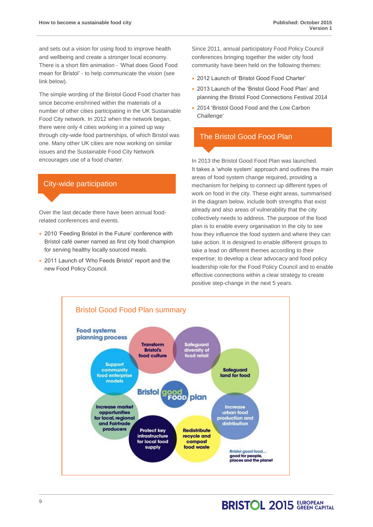and sets out a vision for using food to improve health and wellbeing and create a stronger local economy. There is a short film animation - 'What does Good Food mean for Bristol' - to help communicate the vision (see link below).

The simple wording of the Bristol Good Food charter has since become enshrined within the materials of a number of other cities participating in the UK Sustainable Food City network. In 2012 when the network began, there were only 4 cities working in a joined up way through city-wide food partnerships, of which Bristol was one. Many other UK cities are now working on similar issues and the Sustainable Food City Network encourages use of a food charter.

### City-wide participation

Over the last decade there have been annual foodrelated conferences and events.

- 2010 'Feeding Bristol in the Future' conference with Bristol café owner named as first city food champion for serving healthy locally sourced meals.
- 2011 Launch of 'Who Feeds Bristol' report and the new Food Policy Council.

Since 2011, annual participatory Food Policy Council conferences bringing together the wider city food community have been held on the following themes:

- 2012 Launch of 'Bristol Good Food Charter'
- 2013 Launch of the 'Bristol Good Food Plan' and planning the Bristol Food Connections Festival 2014
- 2014 'Bristol Good Food and the Low Carbon Challenge'

### The Bristol Good Food Plan

In 2013 the Bristol Good Food Plan was launched. It takes a 'whole system' approach and outlines the main areas of food system change required, providing a mechanism for helping to connect up different types of work on food in the city. These eight areas, summarised in the diagram below, include both strengths that exist already and also areas of vulnerability that the city collectively needs to address. The purpose of the food plan is to enable every organisation in the city to see how they influence the food system and where they can take action. It is designed to enable different groups to take a lead on different themes according to their expertise; to develop a clear advocacy and food policy leadership role for the Food Policy Council and to enable effective connections within a clear strategy to create positive step-change in the next 5 years.

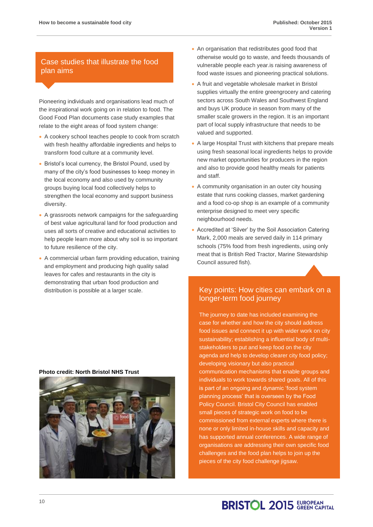### Case studies that illustrate the food plan aims

Pioneering individuals and organisations lead much of the inspirational work going on in relation to food. The Good Food Plan documents case study examples that relate to the eight areas of food system change:

- A cookery school teaches people to cook from scratch with fresh healthy affordable ingredients and helps to transform food culture at a community level.
- Bristol's local currency, the Bristol Pound, used by many of the city's food businesses to keep money in the local economy and also used by community groups buying local food collectively helps to strengthen the local economy and support business diversity.
- A grassroots network campaigns for the safeguarding of best value agricultural land for food production and uses all sorts of creative and educational activities to help people learn more about why soil is so important to future resilience of the city.
- A commercial urban farm providing education, training and employment and producing high quality salad leaves for cafes and restaurants in the city is demonstrating that urban food production and distribution is possible at a larger scale.
- An organisation that redistributes good food that otherwise would go to waste, and feeds thousands of vulnerable people each year.is raising awareness of food waste issues and pioneering practical solutions.
- A fruit and vegetable wholesale market in Bristol supplies virtually the entire greengrocery and catering sectors across South Wales and Southwest England and buys UK produce in season from many of the smaller scale growers in the region. It is an important part of local supply infrastructure that needs to be valued and supported.
- A large Hospital Trust with kitchens that prepare meals using fresh seasonal local ingredients helps to provide new market opportunities for producers in the region and also to provide good healthy meals for patients and staff.
- A community organisation in an outer city housing estate that runs cooking classes, market gardening and a food co-op shop is an example of a community enterprise designed to meet very specific neighbourhood needs.
- Accredited at 'Silver' by the Soil Association Catering Mark, 2,000 meals are served daily in 114 primary schools (75% food from fresh ingredients, using only meat that is British Red Tractor, Marine Stewardship Council assured fish).

### Key points: How cities can embark on a longer-term food journey

The journey to date has included examining the case for whether and how the city should address food issues and connect it up with wider work on city sustainability; establishing a influential body of multistakeholders to put and keep food on the city agenda and help to develop clearer city food policy; developing visionary but also practical communication mechanisms that enable groups and individuals to work towards shared goals. All of this is part of an ongoing and dynamic 'food system planning process' that is overseen by the Food Policy Council. Bristol City Council has enabled small pieces of strategic work on food to be commissioned from external experts where there is none or only limited in-house skills and capacity and has supported annual conferences. A wide range of organisations are addressing their own specific food challenges and the food plan helps to join up the pieces of the city food challenge jigsaw.

#### **Photo credit: North Bristol NHS Trust**

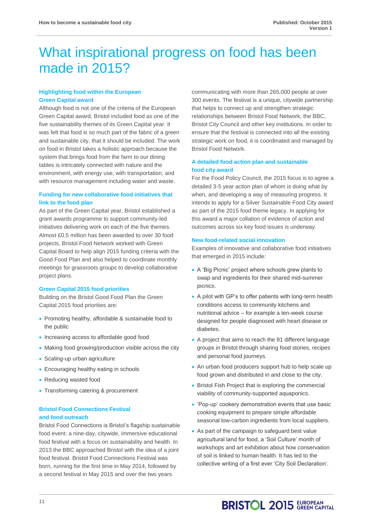### What inspirational progress on food has been made in 2015?

### **Highlighting food within the European Green Capital award**

Although food is not one of the criteria of the European Green Capital award, Bristol included food as one of the five sustainability themes of its Green Capital year. It was felt that food is so much part of the fabric of a green and sustainable city, that it should be included. The work on food in Bristol takes a holistic approach because the system that brings food from the farm to our dining tables is intricately connected with nature and the environment, with energy use, with transportation, and with resource management including water and waste.

### **Funding for new collaborative food initiatives that link to the food plan**

As part of the Green Capital year, Bristol established a grant awards programme to support community-led initiatives delivering work on each of the five themes. Almost £0.5 million has been awarded to over 30 food projects. Bristol Food Network worked with Green Capital Board to help align 2015 funding criteria with the Good Food Plan and also helped to coordinate monthly meetings for grassroots groups to develop collaborative project plans.

### **Green Capital 2015 food priorities**

Building on the Bristol Good Food Plan the Green Capital 2015 food priorities are:

- Promoting healthy, affordable & sustainable food to the public
- Increasing access to affordable good food
- Making food growing/production visible across the city
- Scaling-up urban agriculture
- Encouraging healthy eating in schools
- Reducing wasted food
- Transforming catering & procurement

### **Bristol Food Connections Festival and food outreach**

Bristol Food Connections is Bristol's flagship sustainable food event: a nine-day, citywide, immersive educational food festival with a focus on sustainability and health. In 2013 the BBC approached Bristol with the idea of a joint food festival. Bristol Food Connections Festival was born, running for the first time in May 2014, followed by a second festival in May 2015 and over the two years

communicating with more than 265,000 people at over 300 events. The festival is a unique, citywide partnership that helps to connect up and strengthen strategic relationships between Bristol Food Network, the BBC, Bristol City Council and other key institutions. In order to ensure that the festival is connected into all the existing strategic work on food, it is coordinated and managed by Bristol Food Network.

### **A detailed food action plan and sustainable food city award**

For the Food Policy Council, the 2015 focus is to agree a detailed 3-5 year action plan of whom is doing what by when, and developing a way of measuring progress. It intends to apply for a Silver Sustainable Food City award as part of the 2015 food theme legacy. In applying for this award a major collation of evidence of action and outcomes across six key food issues is underway.

### **New food-related social innovation**

Examples of innovative and collaborative food initiatives that emerged in 2015 include:

- A 'Big Picnic' project where schools grew plants to swap and ingredients for their shared mid-summer picnics.
- A pilot with GP's to offer patients with long-term health conditions access to community kitchens and nutritional advice – for example a ten-week course designed for people diagnosed with heart disease or diabetes.
- A project that aims to reach the 91 different language groups in Bristol through sharing food stories, recipes and personal food journeys.
- An urban food producers support hub to help scale up food grown and distributed in and close to the city.
- Bristol Fish Project that is exploring the commercial viability of community-supported aquaponics.
- 'Pop-up' cookery demonstration events that use basic cooking equipment to prepare simple affordable seasonal low-carbon ingredients from local suppliers.
- As part of the campaign to safeguard best value agricultural land for food, a 'Soil Culture' month of workshops and art exhibition about how conservation of soil is linked to human health. It has led to the collective writing of a first ever 'City Soil Declaration'.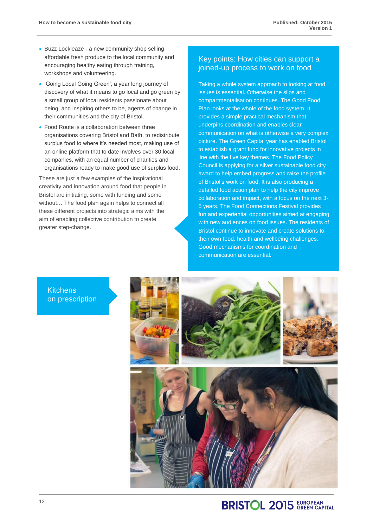- Buzz Lockleaze a new community shop selling affordable fresh produce to the local community and encouraging healthy eating through training, workshops and volunteering.
- 'Going Local Going Green', a year long journey of discovery of what it means to go local and go green by a small group of local residents passionate about being, and inspiring others to be, agents of change in their communities and the city of Bristol.
- Food Route is a collaboration between three organisations covering Bristol and Bath, to redistribute surplus food to where it's needed most, making use of an online platform that to date involves over 30 local companies, with an equal number of charities and organisations ready to make good use of surplus food.

These are just a few examples of the inspirational creativity and innovation around food that people in Bristol are initiating, some with funding and some without… The food plan again helps to connect all these different projects into strategic aims with the aim of enabling collective contribution to create greater step-change.

### Key points: How cities can support a joined-up process to work on food

Taking a whole system approach to looking at food issues is essential. Otherwise the silos and compartmentalisation continues. The Good Food Plan looks at the whole of the food system. It provides a simple practical mechanism that underpins coordination and enables clear communication on what is otherwise a very complex picture. The Green Capital year has enabled Bristol to establish a grant fund for innovative projects in line with the five key themes. The Food Policy Council is applying for a silver sustainable food city award to help embed progress and raise the profile of Bristol's work on food. It is also producing a detailed food action plan to help the city improve collaboration and impact, with a focus on the next 3- 5 years. The Food Connections Festival provides fun and experiential opportunities aimed at engaging with new audiences on food issues. The residents of Bristol continue to innovate and create solutions to their own food, health and wellbeing challenges. Good mechanisms for coordination and communication are essential.

**Kitchens** on prescription

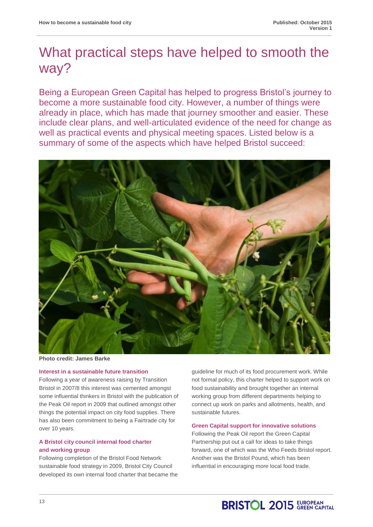### What practical steps have helped to smooth the way?

Being a European Green Capital has helped to progress Bristol's journey to become a more sustainable food city. However, a number of things were already in place, which has made that journey smoother and easier. These include clear plans, and well-articulated evidence of the need for change as well as practical events and physical meeting spaces. Listed below is a summary of some of the aspects which have helped Bristol succeed:



**Photo credit: James Barke**

### **Interest in a sustainable future transition**

Following a year of awareness raising by Transition Bristol in 2007/8 this interest was cemented amongst some influential thinkers in Bristol with the publication of the Peak Oil report in 2009 that outlined amongst other things the potential impact on city food supplies. There has also been commitment to being a Fairtrade city for over 10 years.

### **A Bristol city council internal food charter and working group**

Following completion of the Bristol Food Network sustainable food strategy in 2009, Bristol City Council developed its own internal food charter that became the guideline for much of its food procurement work. While not formal policy, this charter helped to support work on food sustainability and brought together an internal working group from different departments helping to connect up work on parks and allotments, health, and sustainable futures.

### **Green Capital support for innovative solutions**

Following the Peak Oil report the Green Capital Partnership put out a call for ideas to take things forward, one of which was the Who Feeds Bristol report. Another was the Bristol Pound, which has been influential in encouraging more local food trade.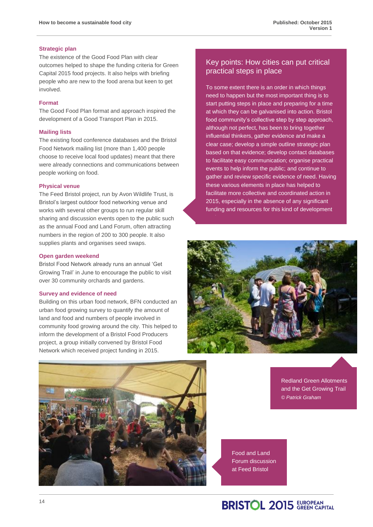### **Strategic plan**

The existence of the Good Food Plan with clear outcomes helped to shape the funding criteria for Green Capital 2015 food projects. It also helps with briefing people who are new to the food arena but keen to get involved.

### **Format**

The Good Food Plan format and approach inspired the development of a Good Transport Plan in 2015.

### **Mailing lists**

The existing food conference databases and the Bristol Food Network mailing list (more than 1,400 people choose to receive local food updates) meant that there were already connections and communications between people working on food.

### **Physical venue**

The Feed Bristol project, run by Avon Wildlife Trust, is Bristol's largest outdoor food networking venue and works with several other groups to run regular skill sharing and discussion events open to the public such as the annual Food and Land Forum, often attracting numbers in the region of 200 to 300 people. It also supplies plants and organises seed swaps.

#### **Open garden weekend**

Bristol Food Network already runs an annual 'Get Growing Trail' in June to encourage the public to visit over 30 community orchards and gardens.

#### **Survey and evidence of need**

Building on this urban food network, BFN conducted an urban food growing survey to quantify the amount of land and food and numbers of people involved in community food growing around the city. This helped to inform the development of a Bristol Food Producers project, a group initially convened by Bristol Food Network which received project funding in 2015.

### Key points: How cities can put critical practical steps in place

To some extent there is an order in which things need to happen but the most important thing is to start putting steps in place and preparing for a time at which they can be galvanised into action. Bristol food community's collective step by step approach, although not perfect, has been to bring together influential thinkers, gather evidence and make a clear case; develop a simple outline strategic plan based on that evidence; develop contact databases to facilitate easy communication; organise practical events to help inform the public; and continue to gather and review specific evidence of need. Having these various elements in place has helped to facilitate more collective and coordinated action in 2015, especially in the absence of any significant funding and resources for this kind of development





Redland Green Allotments and the Get Growing Trail *© Patrick Graham*

Food and Land Forum discussion at Feed Bristol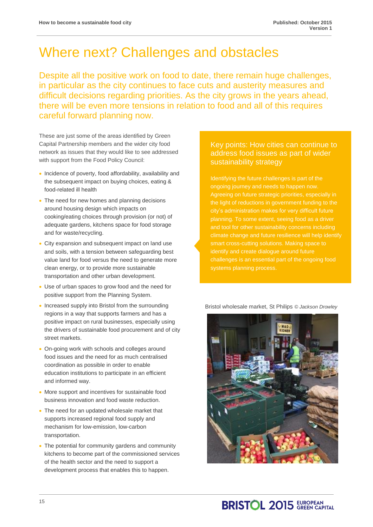### Where next? Challenges and obstacles

Despite all the positive work on food to date, there remain huge challenges, in particular as the city continues to face cuts and austerity measures and difficult decisions regarding priorities. As the city grows in the years ahead, there will be even more tensions in relation to food and all of this requires careful forward planning now.

These are just some of the areas identified by Green Capital Partnership members and the wider city food network as issues that they would like to see addressed with support from the Food Policy Council:

- Incidence of poverty, food affordability, availability and the subsequent impact on buying choices, eating & food-related ill health
- The need for new homes and planning decisions around housing design which impacts on cooking/eating choices through provision (or not) of adequate gardens, kitchens space for food storage and for waste/recycling.
- City expansion and subsequent impact on land use and soils, with a tension between safeguarding best value land for food versus the need to generate more clean energy, or to provide more sustainable transportation and other urban development.
- Use of urban spaces to grow food and the need for positive support from the Planning System.
- Increased supply into Bristol from the surrounding regions in a way that supports farmers and has a positive impact on rural businesses, especially using the drivers of sustainable food procurement and of city street markets.
- On-going work with schools and colleges around food issues and the need for as much centralised coordination as possible in order to enable education institutions to participate in an efficient and informed way.
- More support and incentives for sustainable food business innovation and food waste reduction.
- The need for an updated wholesale market that supports increased regional food supply and mechanism for low-emission, low-carbon transportation.
- The potential for community gardens and community kitchens to become part of the commissioned services of the health sector and the need to support a development process that enables this to happen.

### Key points: How cities can continue to address food issues as part of wider sustainability strategy

Identifying the future challenges is part of the ongoing journey and needs to happen now. city's administration makes for very difficult future identify and create dialogue around future challenges is an essential part of the ongoing food systems planning process.

Bristol wholesale market, St Philips *© Jackson Drowley*

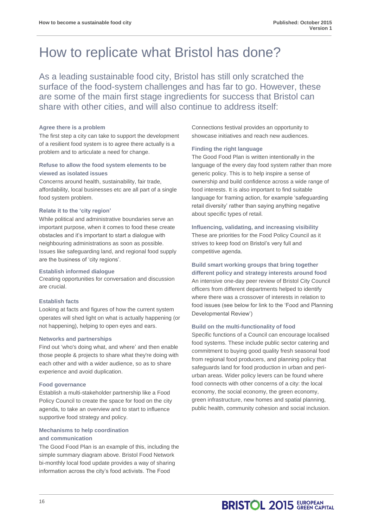### How to replicate what Bristol has done?

As a leading sustainable food city, Bristol has still only scratched the surface of the food-system challenges and has far to go. However, these are some of the main first stage ingredients for success that Bristol can share with other cities, and will also continue to address itself:

### **Agree there is a problem**

The first step a city can take to support the development of a resilient food system is to agree there actually is a problem and to articulate a need for change.

### **Refuse to allow the food system elements to be viewed as isolated issues**

Concerns around health, sustainability, fair trade, affordability, local businesses etc are all part of a single food system problem.

### **Relate it to the 'city region'**

While political and administrative boundaries serve an important purpose, when it comes to food these create obstacles and it's important to start a dialogue with neighbouring administrations as soon as possible. Issues like safeguarding land, and regional food supply are the business of 'city regions'.

### **Establish informed dialogue**

Creating opportunities for conversation and discussion are crucial.

### **Establish facts**

Looking at facts and figures of how the current system operates will shed light on what is actually happening (or not happening), helping to open eyes and ears.

### **Networks and partnerships**

Find out 'who's doing what, and where' and then enable those people & projects to share what they're doing with each other and with a wider audience, so as to share experience and avoid duplication.

### **Food governance**

Establish a multi-stakeholder partnership like a Food Policy Council to create the space for food on the city agenda, to take an overview and to start to influence supportive food strategy and policy.

### **Mechanisms to help coordination**

### **and communication**

The Good Food Plan is an example of this, including the simple summary diagram above. Bristol Food Network bi-monthly local food update provides a way of sharing information across the city's food activists. The Food

Connections festival provides an opportunity to showcase initiatives and reach new audiences.

### **Finding the right language**

The Good Food Plan is written intentionally in the language of the every day food system rather than more generic policy. This is to help inspire a sense of ownership and build confidence across a wide range of food interests. It is also important to find suitable language for framing action, for example 'safeguarding retail diversity' rather than saying anything negative about specific types of retail.

**Influencing, validating, and increasing visibility** These are priorities for the Food Policy Council as it strives to keep food on Bristol's very full and competitive agenda.

### **Build smart working groups that bring together**

**different policy and strategy interests around food** An intensive one-day peer review of Bristol City Council officers from different departments helped to identify where there was a crossover of interests in relation to food issues (see below for link to the 'Food and Planning Developmental Review')

### **Build on the multi-functionality of food**

Specific functions of a Council can encourage localised food systems. These include public sector catering and commitment to buying good quality fresh seasonal food from regional food producers, and planning policy that safeguards land for food production in urban and periurban areas. Wider policy levers can be found where food connects with other concerns of a city: the local economy, the social economy, the green economy, green infrastructure, new homes and spatial planning, public health, community cohesion and social inclusion.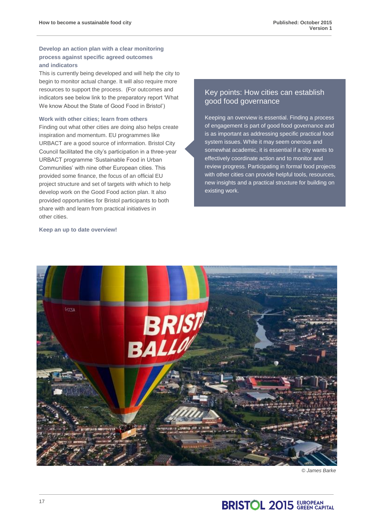### **Develop an action plan with a clear monitoring process against specific agreed outcomes and indicators**

This is currently being developed and will help the city to begin to monitor actual change. It will also require more resources to support the process. (For outcomes and indicators see below link to the preparatory report 'What We know About the State of Good Food in Bristol')

### **Work with other cities; learn from others**

Finding out what other cities are doing also helps create inspiration and momentum. EU programmes like URBACT are a good source of information. Bristol City Council facilitated the city's participation in a three-year URBACT programme 'Sustainable Food in Urban Communities' with nine other European cities. This provided some finance, the focus of an official EU project structure and set of targets with which to help develop work on the Good Food action plan. It also provided opportunities for Bristol participants to both share with and learn from practical initiatives in other cities.

#### **Keep an up to date overview!**

### Key points: How cities can establish good food governance

Keeping an overview is essential. Finding a process of engagement is part of good food governance and is as important as addressing specific practical food system issues. While it may seem onerous and somewhat academic, it is essential if a city wants to effectively coordinate action and to monitor and review progress. Participating in formal food projects with other cities can provide helpful tools, resources, new insights and a practical structure for building on existing work.



*© James Barke*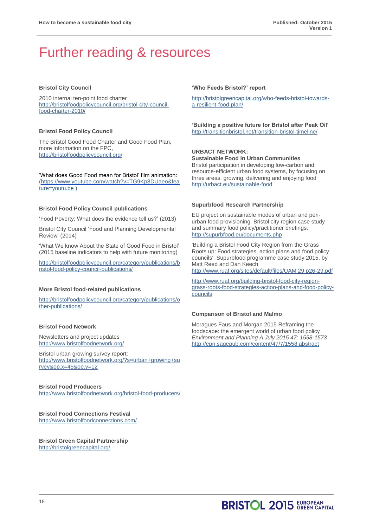### Further reading & resources

### **Bristol City Council**

2010 internal ten-point food charter [http://bristolfoodpolicycouncil.org/bristol-city-council](http://bristolfoodpolicycouncil.org/bristol-city-council-food-charter-2010/)[food-charter-2010/](http://bristolfoodpolicycouncil.org/bristol-city-council-food-charter-2010/)

#### **Bristol Food Policy Council**

The Bristol Good Food Charter and Good Food Plan, more information on the FPC, <http://bristolfoodpolicycouncil.org/>

'What does Good Food mean for Bristol' film animation: [\(https://www.youtube.com/watch?v=TG9Kp8DUaeo&fea](https://www.youtube.com/watch?v=TG9Kp8DUaeo&feature=youtu.be) [ture=youtu.be](https://www.youtube.com/watch?v=TG9Kp8DUaeo&feature=youtu.be) )

#### **Bristol Food Policy Council publications**

'Food Poverty: What does the evidence tell us?' (2013)

Bristol City Council 'Food and Planning Developmental Review' (2014)

'What We know About the State of Good Food in Bristol' (2015 baseline indicators to help with future monitoring)

[http://bristolfoodpolicycouncil.org/category/publications/b](http://bristolfoodpolicycouncil.org/category/publications/bristol-food-policy-council-publications/) [ristol-food-policy-council-publications/](http://bristolfoodpolicycouncil.org/category/publications/bristol-food-policy-council-publications/)

#### **More Bristol food-related publications**

[http://bristolfoodpolicycouncil.org/category/publications/o](http://bristolfoodpolicycouncil.org/category/publications/other-publications/) [ther-publications/](http://bristolfoodpolicycouncil.org/category/publications/other-publications/)

### **Bristol Food Network**

Newsletters and project updates <http://www.bristolfoodnetwork.org/>

Bristol urban growing survey report: [http://www.bristolfoodnetwork.org/?s=urban+growing+su](http://www.bristolfoodnetwork.org/?s=urban+growing+survey&op.x=45&op.y=12) [rvey&op.x=45&op.y=12](http://www.bristolfoodnetwork.org/?s=urban+growing+survey&op.x=45&op.y=12)

### **Bristol Food Producers**

<http://www.bristolfoodnetwork.org/bristol-food-producers/>

**Bristol Food Connections Festival** <http://www.bristolfoodconnections.com/>

**Bristol Green Capital Partnership** <http://bristolgreencapital.org/>

#### **'Who Feeds Bristol?' report**

[http://bristolgreencapital.org/who-feeds-bristol-towards](http://bristolgreencapital.org/who-feeds-bristol-towards-a-resilient-food-plan/)[a-resilient-food-plan/](http://bristolgreencapital.org/who-feeds-bristol-towards-a-resilient-food-plan/)

**'Building a positive future for Bristol after Peak Oil'**  <http://transitionbristol.net/transition-bristol-timeline/>

### **URBACT NETWORK: Sustainable Food in Urban Communities**

Bristol participation in developing low-carbon and resource-efficient urban food systems, by focusing on three areas: growing, delivering and enjoying food <http://urbact.eu/sustainable-food>

#### **Supurbfood Research Partnership**

EU project on sustainable modes of urban and periurban food provisioning. Bristol city region case study and summary food policy/practitioner briefings: <http://supurbfood.eu/documents.php>

'Building a Bristol Food City Region from the Grass Roots up: Food strategies, action plans and food policy councils': Supurbfood programme case study 2015, by Matt Reed and Dan Keech [http://www.ruaf.org/sites/default/files/UAM 29 p26-29.pdf](http://www.ruaf.org/sites/default/files/UAM%2029%20p26-29.pdf)

[http://www.ruaf.org/building-bristol-food-city-region](http://www.ruaf.org/building-bristol-food-city-region-grass-roots-food-strategies-action-plans-and-food-policy-councils)[grass-roots-food-strategies-action-plans-and-food-policy](http://www.ruaf.org/building-bristol-food-city-region-grass-roots-food-strategies-action-plans-and-food-policy-councils)[councils](http://www.ruaf.org/building-bristol-food-city-region-grass-roots-food-strategies-action-plans-and-food-policy-councils)

#### **Comparison of Bristol and Malmo**

Moragues Faus and Morgan 2015 Reframing the foodscape: the emergent world of urban food policy *Environment and Planning A July 2015 47: 1558-1573* <http://epn.sagepub.com/content/47/7/1558.abstract>